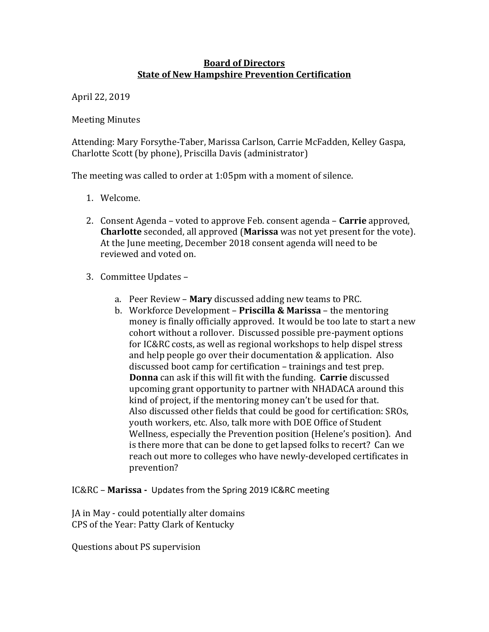## **Board of Directors State of New Hampshire Prevention Certification**

April 22, 2019 

**Meeting Minutes** 

Attending: Mary Forsythe-Taber, Marissa Carlson, Carrie McFadden, Kelley Gaspa, Charlotte Scott (by phone), Priscilla Davis (administrator)

The meeting was called to order at  $1:05$ pm with a moment of silence.

- 1. Welcome.
- 2. Consent Agenda voted to approve Feb. consent agenda **Carrie** approved, **Charlotte** seconded, all approved (Marissa was not yet present for the vote). At the June meeting, December 2018 consent agenda will need to be reviewed and voted on.
- 3. Committee Updates
	- a. Peer Review **Mary** discussed adding new teams to PRC.
	- b. Workforce Development **Priscilla & Marissa** the mentoring money is finally officially approved. It would be too late to start a new cohort without a rollover. Discussed possible pre-payment options for IC&RC costs, as well as regional workshops to help dispel stress and help people go over their documentation  $&$  application. Also discussed boot camp for certification – trainings and test prep. **Donna** can ask if this will fit with the funding. **Carrie** discussed upcoming grant opportunity to partner with NHADACA around this kind of project, if the mentoring money can't be used for that. Also discussed other fields that could be good for certification: SROs, youth workers, etc. Also, talk more with DOE Office of Student Wellness, especially the Prevention position (Helene's position). And is there more that can be done to get lapsed folks to recert? Can we reach out more to colleges who have newly-developed certificates in prevention?

IC&RC - Marissa - Updates from the Spring 2019 IC&RC meeting

JA in May - could potentially alter domains CPS of the Year: Patty Clark of Kentucky

Questions about PS supervision